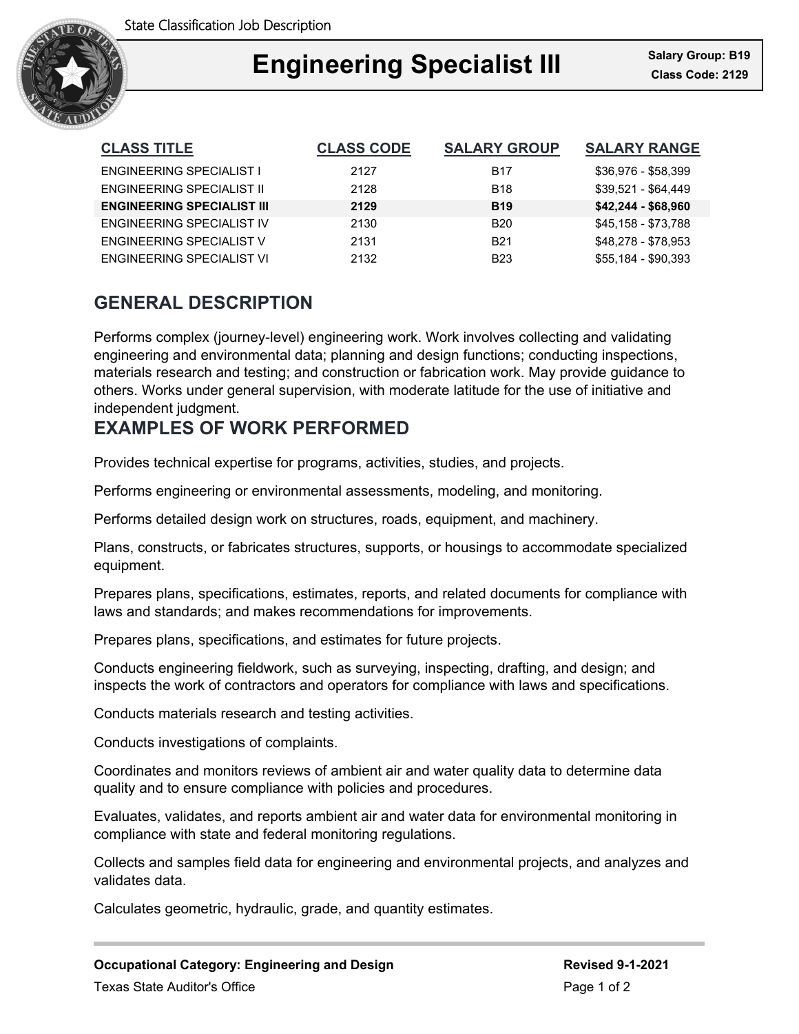

# Ξ **Engineering Specialist III Class Code: 2129**

| <b>CLASS TITLE</b>                | <b>CLASS CODE</b> | <b>SALARY GROUP</b> | <b>SALARY RANGE</b> |
|-----------------------------------|-------------------|---------------------|---------------------|
| <b>ENGINEERING SPECIALIST I</b>   | 2127              | <b>B17</b>          | \$36,976 - \$58,399 |
| ENGINEERING SPECIALIST II         | 2128              | <b>B18</b>          | \$39,521 - \$64,449 |
| <b>ENGINEERING SPECIALIST III</b> | 2129              | <b>B19</b>          | $$42,244 - $68,960$ |
| ENGINEERING SPECIALIST IV         | 2130              | <b>B20</b>          | \$45,158 - \$73,788 |
| ENGINEERING SPECIALIST V          | 2131              | <b>B21</b>          | \$48,278 - \$78,953 |
| ENGINEERING SPECIALIST VI         | 2132              | <b>B23</b>          | \$55,184 - \$90,393 |

# **GENERAL DESCRIPTION**

Performs complex (journey-level) engineering work. Work involves collecting and validating engineering and environmental data; planning and design functions; conducting inspections, materials research and testing; and construction or fabrication work. May provide guidance to others. Works under general supervision, with moderate latitude for the use of initiative and independent judgment.

# **EXAMPLES OF WORK PERFORMED**

Provides technical expertise for programs, activities, studies, and projects.

Performs engineering or environmental assessments, modeling, and monitoring.

Performs detailed design work on structures, roads, equipment, and machinery.

Plans, constructs, or fabricates structures, supports, or housings to accommodate specialized equipment.

Prepares plans, specifications, estimates, reports, and related documents for compliance with laws and standards; and makes recommendations for improvements.

Prepares plans, specifications, and estimates for future projects.

Conducts engineering fieldwork, such as surveying, inspecting, drafting, and design; and inspects the work of contractors and operators for compliance with laws and specifications.

Conducts materials research and testing activities.

Conducts investigations of complaints.

Coordinates and monitors reviews of ambient air and water quality data to determine data quality and to ensure compliance with policies and procedures.

Evaluates, validates, and reports ambient air and water data for environmental monitoring in compliance with state and federal monitoring regulations.

Collects and samples field data for engineering and environmental projects, and analyzes and validates data.

Calculates geometric, hydraulic, grade, and quantity estimates.